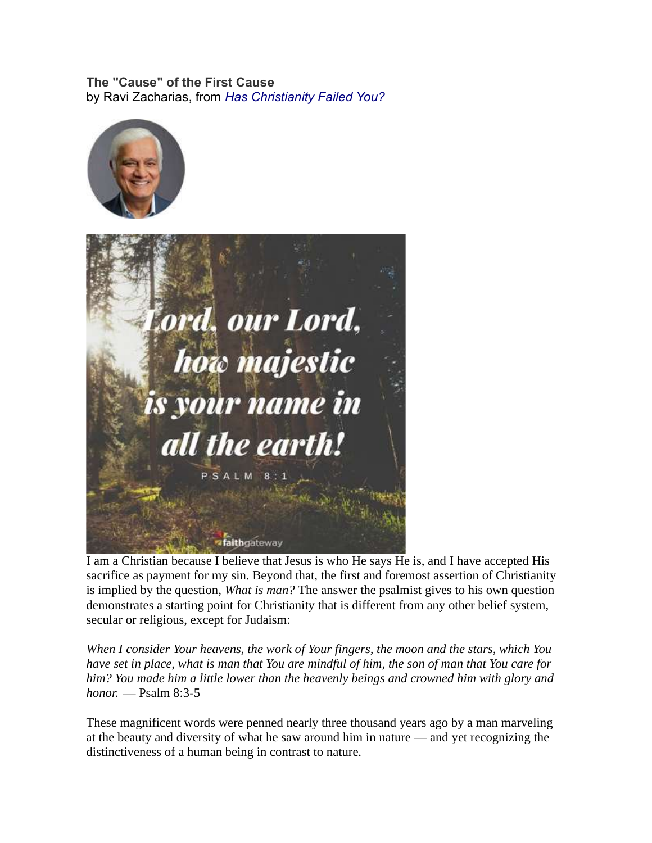The "Cause" of the First Cause by Ravi Zacharias, from Has Christianity Failed You?





I am a Christian because I believe that Jesus is who He says He is, and I have accepted His sacrifice as payment for my sin. Beyond that, the first and foremost assertion of Christianity is implied by the question, What is man? The answer the psalmist gives to his own question demonstrates a starting point for Christianity that is different from any other belief system, secular or religious, except for Judaism:

When I consider Your heavens, the work of Your fingers, the moon and the stars, which You have set in place, what is man that You are mindful of him, the son of man that You care for him? You made him a little lower than the heavenly beings and crowned him with glory and honor. — Psalm 8:3-5

These magnificent words were penned nearly three thousand years ago by a man marveling at the beauty and diversity of what he saw around him in nature — and yet recognizing the distinctiveness of a human being in contrast to nature.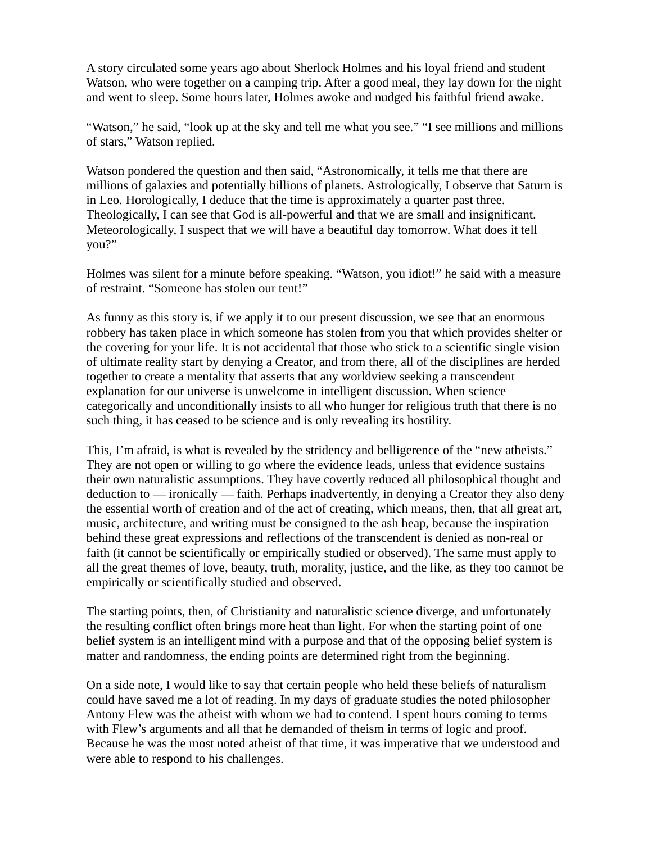A story circulated some years ago about Sherlock Holmes and his loyal friend and student Watson, who were together on a camping trip. After a good meal, they lay down for the night and went to sleep. Some hours later, Holmes awoke and nudged his faithful friend awake.

"Watson," he said, "look up at the sky and tell me what you see." "I see millions and millions of stars," Watson replied.

Watson pondered the question and then said, "Astronomically, it tells me that there are millions of galaxies and potentially billions of planets. Astrologically, I observe that Saturn is in Leo. Horologically, I deduce that the time is approximately a quarter past three. Theologically, I can see that God is all-powerful and that we are small and insignificant. Meteorologically, I suspect that we will have a beautiful day tomorrow. What does it tell you?"

Holmes was silent for a minute before speaking. "Watson, you idiot!" he said with a measure of restraint. "Someone has stolen our tent!"

As funny as this story is, if we apply it to our present discussion, we see that an enormous robbery has taken place in which someone has stolen from you that which provides shelter or the covering for your life. It is not accidental that those who stick to a scientific single vision of ultimate reality start by denying a Creator, and from there, all of the disciplines are herded together to create a mentality that asserts that any worldview seeking a transcendent explanation for our universe is unwelcome in intelligent discussion. When science categorically and unconditionally insists to all who hunger for religious truth that there is no such thing, it has ceased to be science and is only revealing its hostility.

This, I'm afraid, is what is revealed by the stridency and belligerence of the "new atheists." They are not open or willing to go where the evidence leads, unless that evidence sustains their own naturalistic assumptions. They have covertly reduced all philosophical thought and deduction to — ironically — faith. Perhaps inadvertently, in denying a Creator they also deny the essential worth of creation and of the act of creating, which means, then, that all great art, music, architecture, and writing must be consigned to the ash heap, because the inspiration behind these great expressions and reflections of the transcendent is denied as non-real or faith (it cannot be scientifically or empirically studied or observed). The same must apply to all the great themes of love, beauty, truth, morality, justice, and the like, as they too cannot be empirically or scientifically studied and observed.

The starting points, then, of Christianity and naturalistic science diverge, and unfortunately the resulting conflict often brings more heat than light. For when the starting point of one belief system is an intelligent mind with a purpose and that of the opposing belief system is matter and randomness, the ending points are determined right from the beginning.

On a side note, I would like to say that certain people who held these beliefs of naturalism could have saved me a lot of reading. In my days of graduate studies the noted philosopher Antony Flew was the atheist with whom we had to contend. I spent hours coming to terms with Flew's arguments and all that he demanded of theism in terms of logic and proof. Because he was the most noted atheist of that time, it was imperative that we understood and were able to respond to his challenges.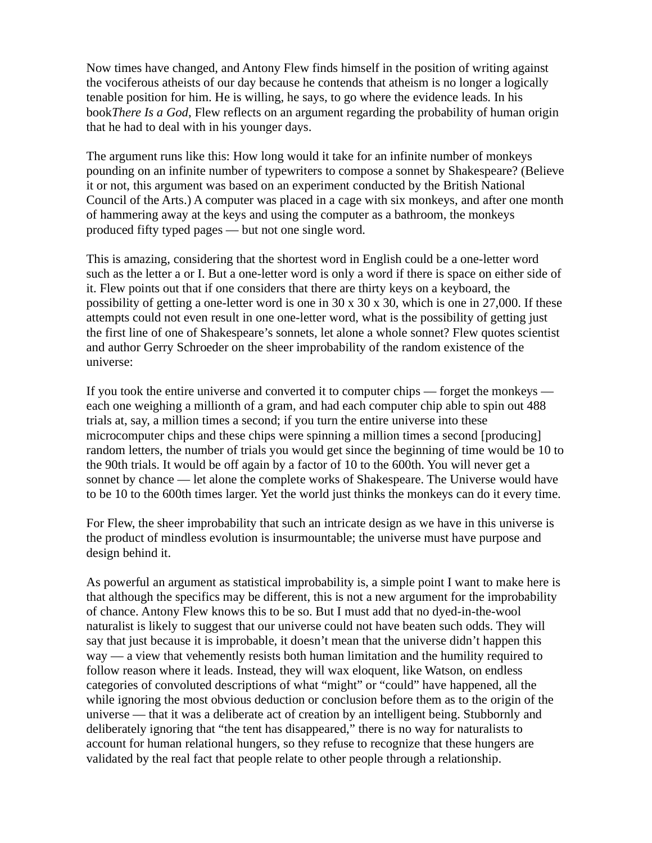Now times have changed, and Antony Flew finds himself in the position of writing against the vociferous atheists of our day because he contends that atheism is no longer a logically tenable position for him. He is willing, he says, to go where the evidence leads. In his bookThere Is a God, Flew reflects on an argument regarding the probability of human origin that he had to deal with in his younger days.

The argument runs like this: How long would it take for an infinite number of monkeys pounding on an infinite number of typewriters to compose a sonnet by Shakespeare? (Believe it or not, this argument was based on an experiment conducted by the British National Council of the Arts.) A computer was placed in a cage with six monkeys, and after one month of hammering away at the keys and using the computer as a bathroom, the monkeys produced fifty typed pages — but not one single word.

This is amazing, considering that the shortest word in English could be a one-letter word such as the letter a or I. But a one-letter word is only a word if there is space on either side of it. Flew points out that if one considers that there are thirty keys on a keyboard, the possibility of getting a one-letter word is one in  $30 \times 30 \times 30$ , which is one in 27,000. If these attempts could not even result in one one-letter word, what is the possibility of getting just the first line of one of Shakespeare's sonnets, let alone a whole sonnet? Flew quotes scientist and author Gerry Schroeder on the sheer improbability of the random existence of the universe:

If you took the entire universe and converted it to computer chips — forget the monkeys each one weighing a millionth of a gram, and had each computer chip able to spin out 488 trials at, say, a million times a second; if you turn the entire universe into these microcomputer chips and these chips were spinning a million times a second [producing] random letters, the number of trials you would get since the beginning of time would be 10 to the 90th trials. It would be off again by a factor of 10 to the 600th. You will never get a sonnet by chance — let alone the complete works of Shakespeare. The Universe would have to be 10 to the 600th times larger. Yet the world just thinks the monkeys can do it every time.

For Flew, the sheer improbability that such an intricate design as we have in this universe is the product of mindless evolution is insurmountable; the universe must have purpose and design behind it.

As powerful an argument as statistical improbability is, a simple point I want to make here is that although the specifics may be different, this is not a new argument for the improbability of chance. Antony Flew knows this to be so. But I must add that no dyed-in-the-wool naturalist is likely to suggest that our universe could not have beaten such odds. They will say that just because it is improbable, it doesn't mean that the universe didn't happen this way — a view that vehemently resists both human limitation and the humility required to follow reason where it leads. Instead, they will wax eloquent, like Watson, on endless categories of convoluted descriptions of what "might" or "could" have happened, all the while ignoring the most obvious deduction or conclusion before them as to the origin of the universe — that it was a deliberate act of creation by an intelligent being. Stubbornly and deliberately ignoring that "the tent has disappeared," there is no way for naturalists to account for human relational hungers, so they refuse to recognize that these hungers are validated by the real fact that people relate to other people through a relationship.